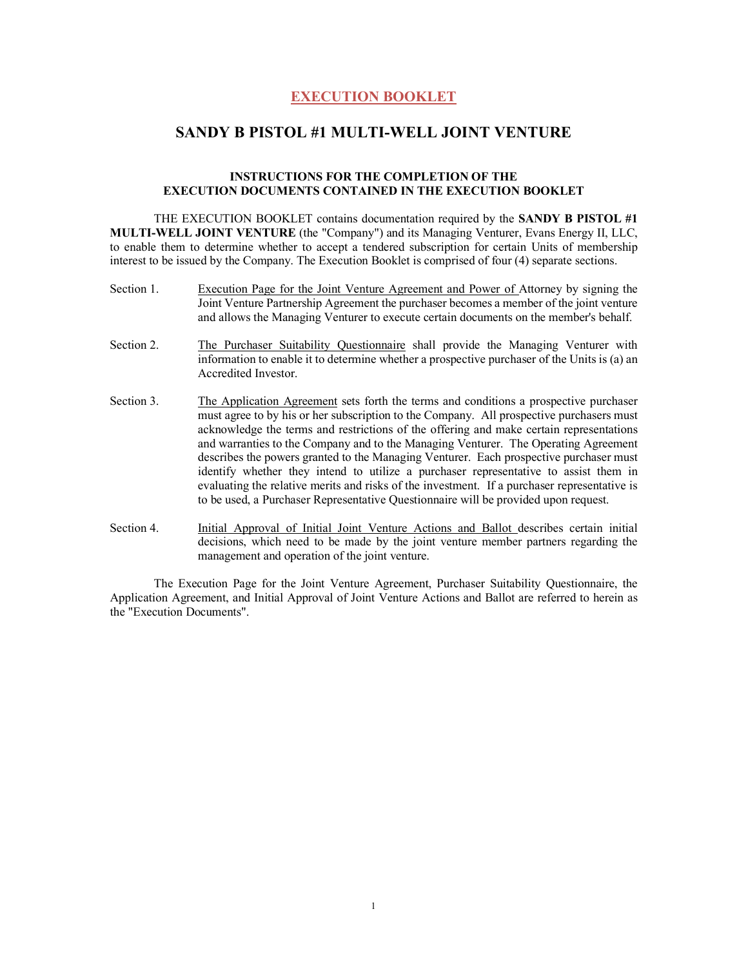## **EXECUTION BOOKLET**

## **SANDY B PISTOL #1 MULTI-WELL JOINT VENTURE**

## **INSTRUCTIONS FOR THE COMPLETION OF THE EXECUTION DOCUMENTS CONTAINED IN THE EXECUTION BOOKLET**

THE EXECUTION BOOKLET contains documentation required by the **SANDY B PISTOL #1 MULTI-WELL JOINT VENTURE** (the "Company") and its Managing Venturer, Evans Energy II, LLC, to enable them to determine whether to accept a tendered subscription for certain Units of membership interest to be issued by the Company. The Execution Booklet is comprised of four (4) separate sections.

- Section 1. Execution Page for the Joint Venture Agreement and Power of Attorney by signing the Joint Venture Partnership Agreement the purchaser becomes a member of the joint venture and allows the Managing Venturer to execute certain documents on the member's behalf.
- Section 2. The Purchaser Suitability Questionnaire shall provide the Managing Venturer with information to enable it to determine whether a prospective purchaser of the Units is (a) an Accredited Investor.
- Section 3. The Application Agreement sets forth the terms and conditions a prospective purchaser must agree to by his or her subscription to the Company. All prospective purchasers must acknowledge the terms and restrictions of the offering and make certain representations and warranties to the Company and to the Managing Venturer. The Operating Agreement describes the powers granted to the Managing Venturer. Each prospective purchaser must identify whether they intend to utilize a purchaser representative to assist them in evaluating the relative merits and risks of the investment. If a purchaser representative is to be used, a Purchaser Representative Questionnaire will be provided upon request.
- Section 4. Initial Approval of Initial Joint Venture Actions and Ballot describes certain initial decisions, which need to be made by the joint venture member partners regarding the management and operation of the joint venture.

The Execution Page for the Joint Venture Agreement, Purchaser Suitability Questionnaire, the Application Agreement, and Initial Approval of Joint Venture Actions and Ballot are referred to herein as the "Execution Documents".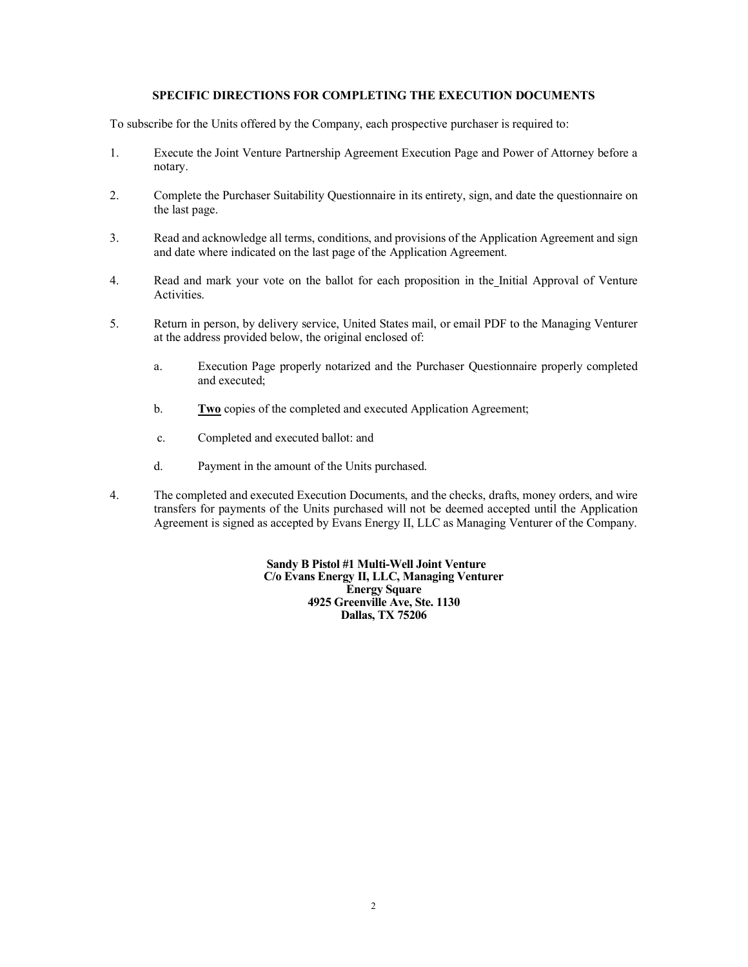## **SPECIFIC DIRECTIONS FOR COMPLETING THE EXECUTION DOCUMENTS**

To subscribe for the Units offered by the Company, each prospective purchaser is required to:

- 1. Execute the Joint Venture Partnership Agreement Execution Page and Power of Attorney before a notary.
- 2. Complete the Purchaser Suitability Questionnaire in its entirety, sign, and date the questionnaire on the last page.
- 3. Read and acknowledge all terms, conditions, and provisions of the Application Agreement and sign and date where indicated on the last page of the Application Agreement.
- 4. Read and mark your vote on the ballot for each proposition in the Initial Approval of Venture Activities.
- 5. Return in person, by delivery service, United States mail, or email PDF to the Managing Venturer at the address provided below, the original enclosed of:
	- a. Execution Page properly notarized and the Purchaser Questionnaire properly completed and executed;
	- b. **Two** copies of the completed and executed Application Agreement;
	- c. Completed and executed ballot: and
	- d. Payment in the amount of the Units purchased.
- 4. The completed and executed Execution Documents, and the checks, drafts, money orders, and wire transfers for payments of the Units purchased will not be deemed accepted until the Application Agreement is signed as accepted by Evans Energy II, LLC as Managing Venturer of the Company.

**Sandy B Pistol #1 Multi-Well Joint Venture C/o Evans Energy II, LLC, Managing Venturer Energy Square 4925 Greenville Ave, Ste. 1130 Dallas, TX 75206**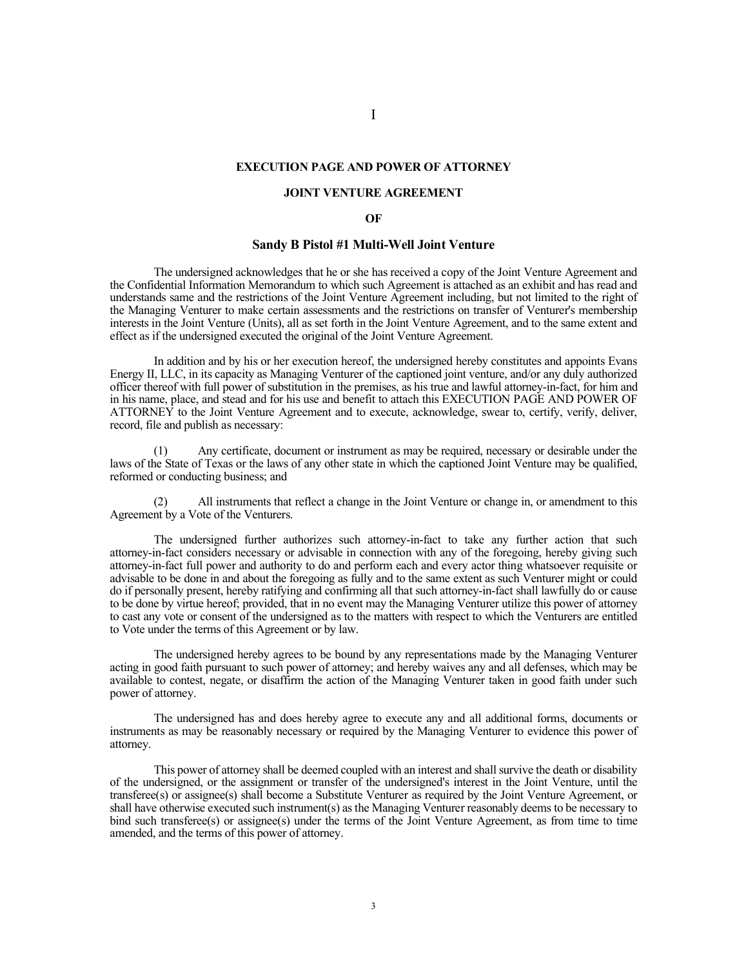#### **EXECUTION PAGE AND POWER OF ATTORNEY**

#### **JOINT VENTURE AGREEMENT**

#### **OF**

## **Sandy B Pistol #1 Multi-Well Joint Venture**

The undersigned acknowledges that he or she has received a copy of the Joint Venture Agreement and the Confidential Information Memorandum to which such Agreement is attached as an exhibit and has read and understands same and the restrictions of the Joint Venture Agreement including, but not limited to the right of the Managing Venturer to make certain assessments and the restrictions on transfer of Venturer's membership interests in the Joint Venture (Units), all as set forth in the Joint Venture Agreement, and to the same extent and effect as if the undersigned executed the original of the Joint Venture Agreement.

In addition and by his or her execution hereof, the undersigned hereby constitutes and appoints Evans Energy II, LLC, in its capacity as Managing Venturer of the captioned joint venture, and/or any duly authorized officer thereof with full power of substitution in the premises, as his true and lawful attorney-in-fact, for him and in his name, place, and stead and for his use and benefit to attach this EXECUTION PAGE AND POWER OF ATTORNEY to the Joint Venture Agreement and to execute, acknowledge, swear to, certify, verify, deliver, record, file and publish as necessary:

Any certificate, document or instrument as may be required, necessary or desirable under the laws of the State of Texas or the laws of any other state in which the captioned Joint Venture may be qualified, reformed or conducting business; and

(2) All instruments that reflect a change in the Joint Venture or change in, or amendment to this Agreement by a Vote of the Venturers.

The undersigned further authorizes such attorney-in-fact to take any further action that such attorney-in-fact considers necessary or advisable in connection with any of the foregoing, hereby giving such attorney-in-fact full power and authority to do and perform each and every actor thing whatsoever requisite or advisable to be done in and about the foregoing as fully and to the same extent as such Venturer might or could do if personally present, hereby ratifying and confirming all that such attorney-in-fact shall lawfully do or cause to be done by virtue hereof; provided, that in no event may the Managing Venturer utilize this power of attorney to cast any vote or consent of the undersigned as to the matters with respect to which the Venturers are entitled to Vote under the terms of this Agreement or by law.

The undersigned hereby agrees to be bound by any representations made by the Managing Venturer acting in good faith pursuant to such power of attorney; and hereby waives any and all defenses, which may be available to contest, negate, or disaffirm the action of the Managing Venturer taken in good faith under such power of attorney.

The undersigned has and does hereby agree to execute any and all additional forms, documents or instruments as may be reasonably necessary or required by the Managing Venturer to evidence this power of attorney.

This power of attorney shall be deemed coupled with an interest and shall survive the death or disability of the undersigned, or the assignment or transfer of the undersigned's interest in the Joint Venture, until the transferee(s) or assignee(s) shall become a Substitute Venturer as required by the Joint Venture Agreement, or shall have otherwise executed such instrument(s) as the Managing Venturer reasonably deems to be necessary to bind such transferee(s) or assignee(s) under the terms of the Joint Venture Agreement, as from time to time amended, and the terms of this power of attorney.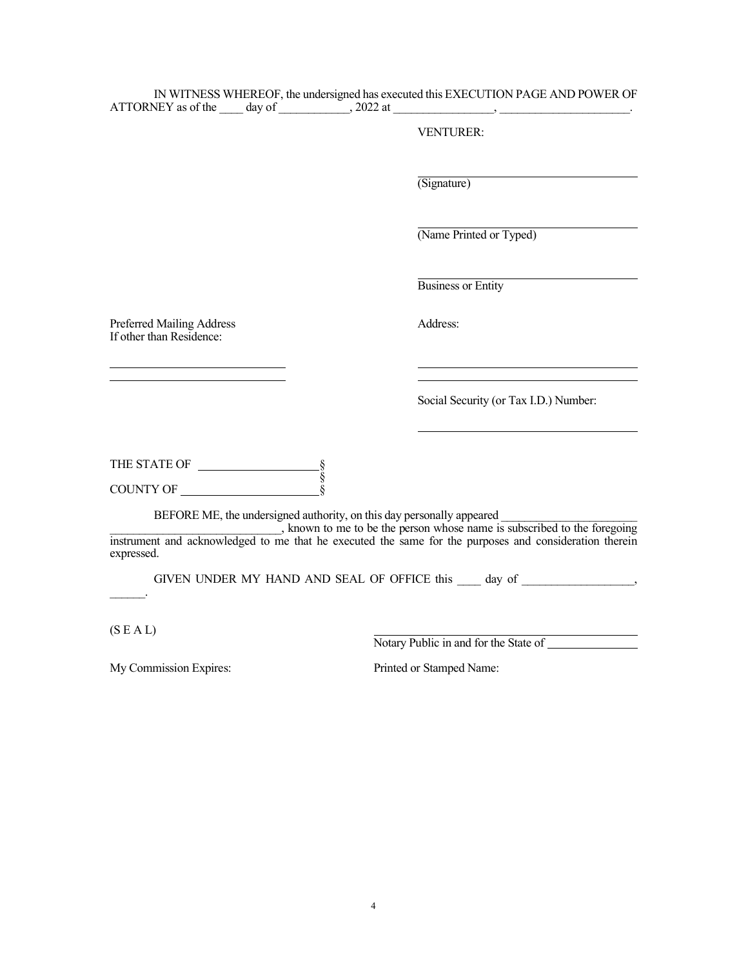|                                                       |  | IN WITNESS WHEREOF, the undersigned has executed this EXECUTION PAGE AND POWER OF<br>ATTORNEY as of the $\_\_\_$ day of $\_\_\_\_$ , 2022 at $\_\_\_\_\_\_\_\_\_\_$             |
|-------------------------------------------------------|--|---------------------------------------------------------------------------------------------------------------------------------------------------------------------------------|
|                                                       |  | <b>VENTURER:</b>                                                                                                                                                                |
|                                                       |  | (Signature)                                                                                                                                                                     |
|                                                       |  | (Name Printed or Typed)                                                                                                                                                         |
|                                                       |  | <b>Business or Entity</b>                                                                                                                                                       |
| Preferred Mailing Address<br>If other than Residence: |  | Address:                                                                                                                                                                        |
|                                                       |  | Social Security (or Tax I.D.) Number:                                                                                                                                           |
| THE STATE OF $\frac{\S}{\S}$                          |  |                                                                                                                                                                                 |
| COUNTY OF<br>expressed.                               |  | BEFORE ME, the undersigned authority, on this day personally appeared<br>instrument and acknowledged to me that he executed the same for the purposes and consideration therein |
|                                                       |  | GIVEN UNDER MY HAND AND SEAL OF OFFICE this day of ,                                                                                                                            |
| (S E A L)                                             |  | Notary Public in and for the State of                                                                                                                                           |
| My Commission Expires:                                |  | Printed or Stamped Name:                                                                                                                                                        |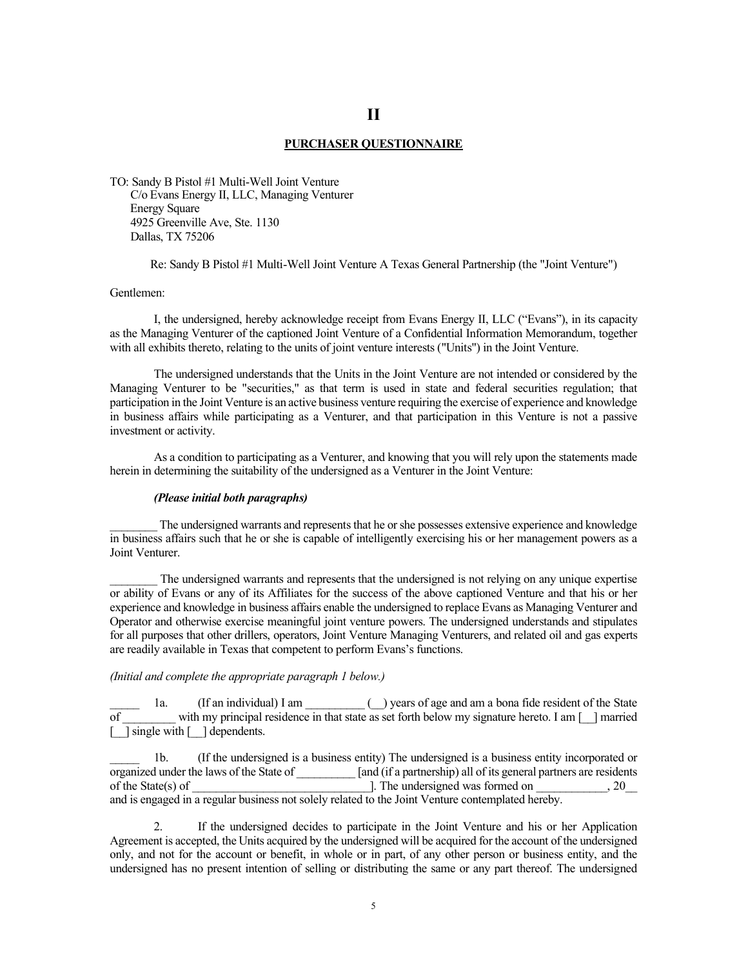### **PURCHASER QUESTIONNAIRE**

TO: Sandy B Pistol #1 Multi-Well Joint Venture C/o Evans Energy II, LLC, Managing Venturer Energy Square 4925 Greenville Ave, Ste. 1130 Dallas, TX 75206

Re: Sandy B Pistol #1 Multi-Well Joint Venture A Texas General Partnership (the "Joint Venture")

#### Gentlemen:

I, the undersigned, hereby acknowledge receipt from Evans Energy II, LLC ("Evans"), in its capacity as the Managing Venturer of the captioned Joint Venture of a Confidential Information Memorandum, together with all exhibits thereto, relating to the units of joint venture interests ("Units") in the Joint Venture.

The undersigned understands that the Units in the Joint Venture are not intended or considered by the Managing Venturer to be "securities," as that term is used in state and federal securities regulation; that participation in the Joint Venture is an active business venture requiring the exercise of experience and knowledge in business affairs while participating as a Venturer, and that participation in this Venture is not a passive investment or activity.

As a condition to participating as a Venturer, and knowing that you will rely upon the statements made herein in determining the suitability of the undersigned as a Venturer in the Joint Venture:

## *(Please initial both paragraphs)*

\_\_\_\_\_\_\_\_ The undersigned warrants and represents that he or she possesses extensive experience and knowledge in business affairs such that he or she is capable of intelligently exercising his or her management powers as a Joint Venturer.

The undersigned warrants and represents that the undersigned is not relying on any unique expertise or ability of Evans or any of its Affiliates for the success of the above captioned Venture and that his or her experience and knowledge in business affairs enable the undersigned to replace Evans as Managing Venturer and Operator and otherwise exercise meaningful joint venture powers. The undersigned understands and stipulates for all purposes that other drillers, operators, Joint Venture Managing Venturers, and related oil and gas experts are readily available in Texas that competent to perform Evans's functions.

#### *(Initial and complete the appropriate paragraph 1 below.)*

1a. (If an individual) I am  $($ ) years of age and am a bona fide resident of the State of \_\_\_\_\_\_\_\_\_ with my principal residence in that state as set forth below my signature hereto. I am [\_\_] married  $\lceil \quad \rceil$  single with  $\lceil \quad \rceil$  dependents.

\_\_\_\_\_ 1b. (If the undersigned is a business entity) The undersigned is a business entity incorporated or organized under the laws of the State of [40] [and (if a partnership) all of its general partners are residents of the State of [40]. The undersigned was formed on  $\frac{1}{20}$ , 20 of the State(s) of \_\_\_\_\_\_\_\_\_\_\_\_\_\_\_\_\_\_\_\_\_\_\_\_\_\_\_\_\_\_]. The undersigned was formed on \_\_\_\_\_\_\_\_\_\_\_\_, 20\_\_ and is engaged in a regular business not solely related to the Joint Venture contemplated hereby.

2. If the undersigned decides to participate in the Joint Venture and his or her Application Agreement is accepted, the Units acquired by the undersigned will be acquired for the account of the undersigned only, and not for the account or benefit, in whole or in part, of any other person or business entity, and the undersigned has no present intention of selling or distributing the same or any part thereof. The undersigned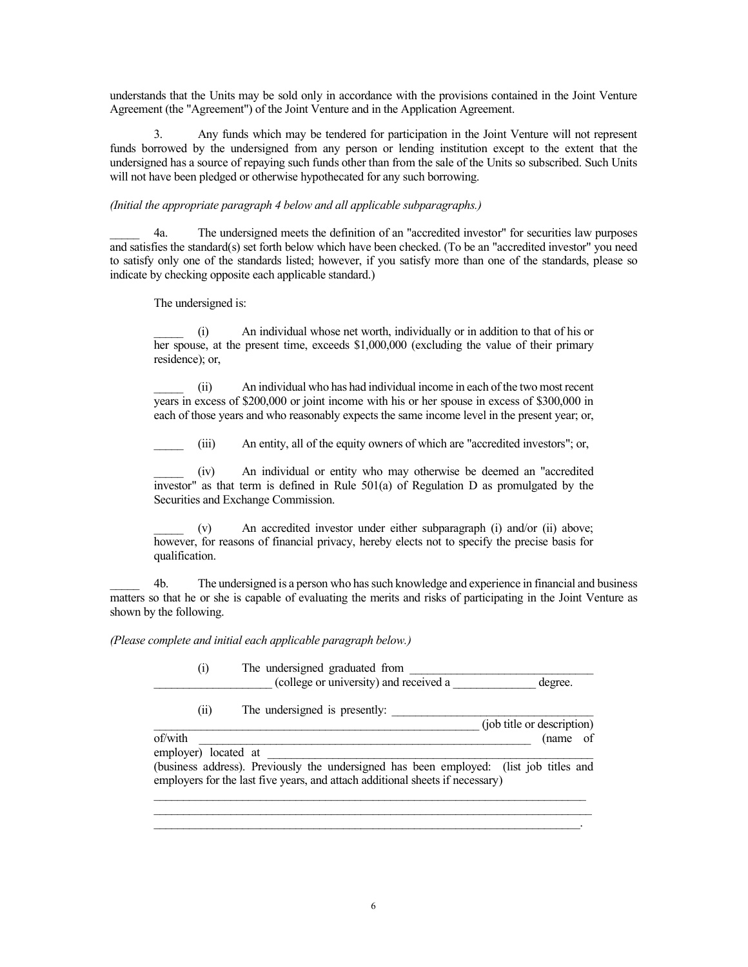understands that the Units may be sold only in accordance with the provisions contained in the Joint Venture Agreement (the "Agreement") of the Joint Venture and in the Application Agreement.

3. Any funds which may be tendered for participation in the Joint Venture will not represent funds borrowed by the undersigned from any person or lending institution except to the extent that the undersigned has a source of repaying such funds other than from the sale of the Units so subscribed. Such Units will not have been pledged or otherwise hypothecated for any such borrowing.

## *(Initial the appropriate paragraph 4 below and all applicable subparagraphs.)*

\_\_\_\_\_ 4a. The undersigned meets the definition of an "accredited investor" for securities law purposes and satisfies the standard(s) set forth below which have been checked. (To be an "accredited investor" you need to satisfy only one of the standards listed; however, if you satisfy more than one of the standards, please so indicate by checking opposite each applicable standard.)

The undersigned is:

\_\_\_\_\_ (i) An individual whose net worth, individually or in addition to that of his or her spouse, at the present time, exceeds \$1,000,000 (excluding the value of their primary residence); or,

\_\_\_\_\_ (ii) An individual who has had individual income in each of the two most recent years in excess of \$200,000 or joint income with his or her spouse in excess of \$300,000 in each of those years and who reasonably expects the same income level in the present year; or,

\_\_\_\_\_ (iii) An entity, all of the equity owners of which are "accredited investors"; or,

\_\_\_\_\_ (iv) An individual or entity who may otherwise be deemed an "accredited investor" as that term is defined in Rule 501(a) of Regulation D as promulgated by the Securities and Exchange Commission.

\_\_\_\_\_ (v) An accredited investor under either subparagraph (i) and/or (ii) above; however, for reasons of financial privacy, hereby elects not to specify the precise basis for qualification.

\_\_\_\_\_ 4b. The undersigned is a person who has such knowledge and experience in financial and business matters so that he or she is capable of evaluating the merits and risks of participating in the Joint Venture as shown by the following.

*(Please complete and initial each applicable paragraph below.)*

(i) The undersigned graduated from \_\_\_\_\_\_\_\_\_\_\_\_\_\_\_\_\_\_\_\_ (college or university) and received a \_\_\_\_\_\_\_\_\_\_\_\_\_\_ degree.

\_\_\_\_\_\_\_\_\_\_\_\_\_\_\_\_\_\_\_\_\_\_\_\_\_\_\_\_\_\_\_\_\_\_\_\_\_\_\_\_\_\_\_\_\_\_\_\_\_\_\_\_\_\_\_ (job title or description)

 $(ii)$  The undersigned is presently:

of/with \_\_\_\_\_\_\_\_\_\_\_\_\_\_\_\_\_\_\_\_\_\_\_\_\_\_\_\_\_\_\_\_\_\_\_\_\_\_\_\_\_\_\_\_\_\_\_\_\_\_\_\_\_\_\_\_ (name of

employer) located at

(business address). Previously the undersigned has been employed: (list job titles and employers for the last five years, and attach additional sheets if necessary)

\_\_\_\_\_\_\_\_\_\_\_\_\_\_\_\_\_\_\_\_\_\_\_\_\_\_\_\_\_\_\_\_\_\_\_\_\_\_\_\_\_\_\_\_\_\_\_\_\_\_\_\_\_\_\_\_\_\_\_\_\_\_\_\_\_\_\_\_\_\_\_\_\_  $\mathcal{L}_\mathcal{L} = \{ \mathcal{L}_\mathcal{L} = \{ \mathcal{L}_\mathcal{L} = \{ \mathcal{L}_\mathcal{L} = \{ \mathcal{L}_\mathcal{L} = \{ \mathcal{L}_\mathcal{L} = \{ \mathcal{L}_\mathcal{L} = \{ \mathcal{L}_\mathcal{L} = \{ \mathcal{L}_\mathcal{L} = \{ \mathcal{L}_\mathcal{L} = \{ \mathcal{L}_\mathcal{L} = \{ \mathcal{L}_\mathcal{L} = \{ \mathcal{L}_\mathcal{L} = \{ \mathcal{L}_\mathcal{L} = \{ \mathcal{L}_\mathcal{$  $\mathcal{L}_\text{max} = \mathcal{L}_\text{max} = \mathcal{L}_\text{max} = \mathcal{L}_\text{max} = \mathcal{L}_\text{max} = \mathcal{L}_\text{max} = \mathcal{L}_\text{max} = \mathcal{L}_\text{max} = \mathcal{L}_\text{max} = \mathcal{L}_\text{max} = \mathcal{L}_\text{max} = \mathcal{L}_\text{max} = \mathcal{L}_\text{max} = \mathcal{L}_\text{max} = \mathcal{L}_\text{max} = \mathcal{L}_\text{max} = \mathcal{L}_\text{max} = \mathcal{L}_\text{max} = \mathcal{$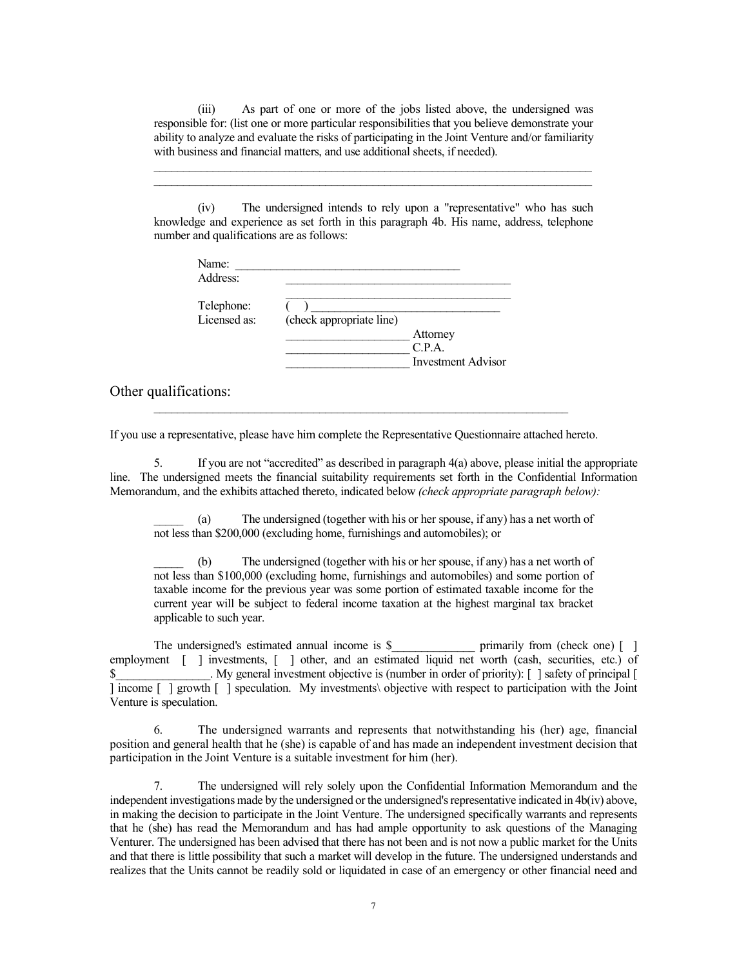(iii) As part of one or more of the jobs listed above, the undersigned was responsible for: (list one or more particular responsibilities that you believe demonstrate your ability to analyze and evaluate the risks of participating in the Joint Venture and/or familiarity with business and financial matters, and use additional sheets, if needed).

\_\_\_\_\_\_\_\_\_\_\_\_\_\_\_\_\_\_\_\_\_\_\_\_\_\_\_\_\_\_\_\_\_\_\_\_\_\_\_\_\_\_\_\_\_\_\_\_\_\_\_\_\_\_\_\_\_\_\_\_\_\_\_\_\_\_\_\_\_\_\_\_\_\_ \_\_\_\_\_\_\_\_\_\_\_\_\_\_\_\_\_\_\_\_\_\_\_\_\_\_\_\_\_\_\_\_\_\_\_\_\_\_\_\_\_\_\_\_\_\_\_\_\_\_\_\_\_\_\_\_\_\_\_\_\_\_\_\_\_\_\_\_\_\_\_\_\_\_

(iv) The undersigned intends to rely upon a "representative" who has such knowledge and experience as set forth in this paragraph 4b. His name, address, telephone number and qualifications are as follows:

| Name:        |                          |                    |
|--------------|--------------------------|--------------------|
| Address:     |                          |                    |
| Telephone:   |                          |                    |
| Licensed as: | (check appropriate line) |                    |
|              |                          | Attorney           |
|              |                          | C.P.A.             |
|              |                          | Investment Advisor |
|              |                          |                    |

Other qualifications:

If you use a representative, please have him complete the Representative Questionnaire attached hereto.

 $\_$  ,  $\_$  ,  $\_$  ,  $\_$  ,  $\_$  ,  $\_$  ,  $\_$  ,  $\_$  ,  $\_$  ,  $\_$  ,  $\_$  ,  $\_$  ,  $\_$  ,  $\_$  ,  $\_$  ,  $\_$  ,  $\_$  ,  $\_$  ,  $\_$ 

5. If you are not "accredited" as described in paragraph 4(a) above, please initial the appropriate line. The undersigned meets the financial suitability requirements set forth in the Confidential Information Memorandum, and the exhibits attached thereto, indicated below *(check appropriate paragraph below):*

\_\_\_\_\_ (a) The undersigned (together with his or her spouse, if any) has a net worth of not less than \$200,000 (excluding home, furnishings and automobiles); or

\_\_\_\_\_ (b) The undersigned (together with his or her spouse, if any) has a net worth of not less than \$100,000 (excluding home, furnishings and automobiles) and some portion of taxable income for the previous year was some portion of estimated taxable income for the current year will be subject to federal income taxation at the highest marginal tax bracket applicable to such year.

The undersigned's estimated annual income is \$\_\_\_\_\_\_\_\_\_\_\_\_\_\_\_\_\_ primarily from (check one) [ ] employment  $\begin{bmatrix} \cdot \end{bmatrix}$  investments,  $\begin{bmatrix} \cdot \end{bmatrix}$  other, and an estimated liquid net worth (cash, securities, etc.) of \$ Ny general investment objective is (number in order of priority): [ ] safety of principal [ ] income [ ] growth [ ] speculation. My investments\ objective with respect to participation with the Joint Venture is speculation.

6. The undersigned warrants and represents that notwithstanding his (her) age, financial position and general health that he (she) is capable of and has made an independent investment decision that participation in the Joint Venture is a suitable investment for him (her).

7. The undersigned will rely solely upon the Confidential Information Memorandum and the independent investigations made by the undersigned or the undersigned's representative indicated in 4b(iv) above, in making the decision to participate in the Joint Venture. The undersigned specifically warrants and represents that he (she) has read the Memorandum and has had ample opportunity to ask questions of the Managing Venturer. The undersigned has been advised that there has not been and is not now a public market for the Units and that there is little possibility that such a market will develop in the future. The undersigned understands and realizes that the Units cannot be readily sold or liquidated in case of an emergency or other financial need and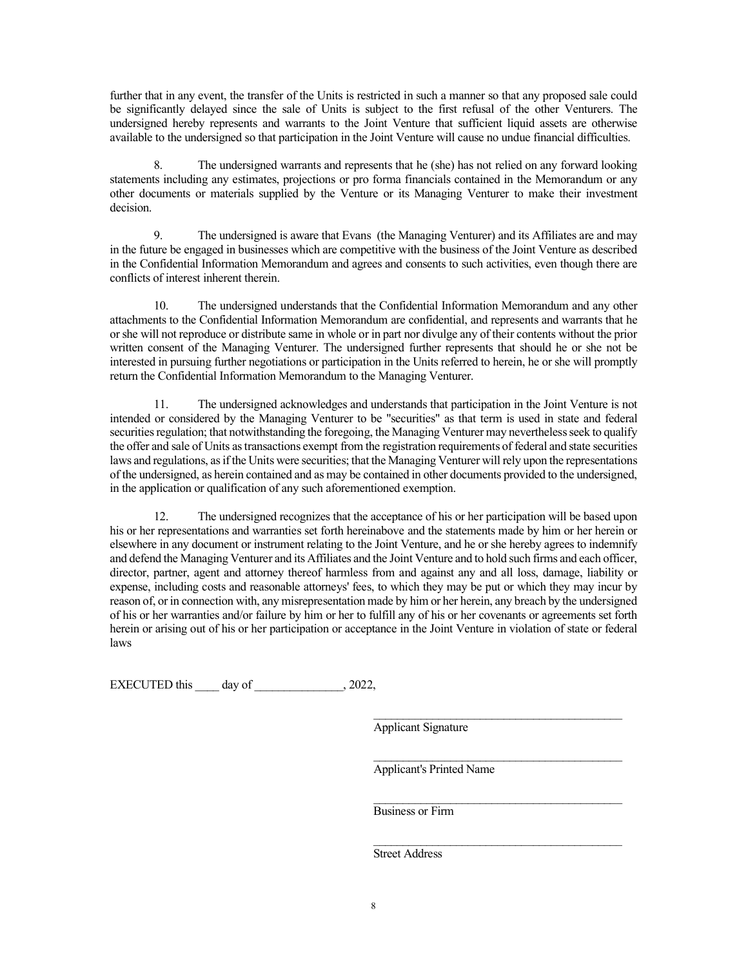further that in any event, the transfer of the Units is restricted in such a manner so that any proposed sale could be significantly delayed since the sale of Units is subject to the first refusal of the other Venturers. The undersigned hereby represents and warrants to the Joint Venture that sufficient liquid assets are otherwise available to the undersigned so that participation in the Joint Venture will cause no undue financial difficulties.

8. The undersigned warrants and represents that he (she) has not relied on any forward looking statements including any estimates, projections or pro forma financials contained in the Memorandum or any other documents or materials supplied by the Venture or its Managing Venturer to make their investment decision.

9. The undersigned is aware that Evans (the Managing Venturer) and its Affiliates are and may in the future be engaged in businesses which are competitive with the business of the Joint Venture as described in the Confidential Information Memorandum and agrees and consents to such activities, even though there are conflicts of interest inherent therein.

10. The undersigned understands that the Confidential Information Memorandum and any other attachments to the Confidential Information Memorandum are confidential, and represents and warrants that he or she will not reproduce or distribute same in whole or in part nor divulge any of their contents without the prior written consent of the Managing Venturer. The undersigned further represents that should he or she not be interested in pursuing further negotiations or participation in the Units referred to herein, he or she will promptly return the Confidential Information Memorandum to the Managing Venturer.

11. The undersigned acknowledges and understands that participation in the Joint Venture is not intended or considered by the Managing Venturer to be "securities" as that term is used in state and federal securities regulation; that notwithstanding the foregoing, the Managing Venturer may nevertheless seek to qualify the offer and sale of Units as transactions exempt from the registration requirements of federal and state securities laws and regulations, as if the Units were securities; that the Managing Venturer will rely upon the representations of the undersigned, as herein contained and as may be contained in other documents provided to the undersigned, in the application or qualification of any such aforementioned exemption.

12. The undersigned recognizes that the acceptance of his or her participation will be based upon his or her representations and warranties set forth hereinabove and the statements made by him or her herein or elsewhere in any document or instrument relating to the Joint Venture, and he or she hereby agrees to indemnify and defend the Managing Venturer and its Affiliates and the Joint Venture and to hold such firms and each officer, director, partner, agent and attorney thereof harmless from and against any and all loss, damage, liability or expense, including costs and reasonable attorneys' fees, to which they may be put or which they may incur by reason of, or in connection with, any misrepresentation made by him or her herein, any breach by the undersigned of his or her warranties and/or failure by him or her to fulfill any of his or her covenants or agreements set forth herein or arising out of his or her participation or acceptance in the Joint Venture in violation of state or federal laws

EXECUTED this day of  $, 2022,$ 

Applicant Signature

Applicant's Printed Name

\_\_\_\_\_\_\_\_\_\_\_\_\_\_\_\_\_\_\_\_\_\_\_\_\_\_\_\_\_\_\_\_\_\_\_\_\_\_\_\_\_\_

\_\_\_\_\_\_\_\_\_\_\_\_\_\_\_\_\_\_\_\_\_\_\_\_\_\_\_\_\_\_\_\_\_\_\_\_\_\_\_\_\_\_

\_\_\_\_\_\_\_\_\_\_\_\_\_\_\_\_\_\_\_\_\_\_\_\_\_\_\_\_\_\_\_\_\_\_\_\_\_\_\_\_\_\_ Business or Firm

\_\_\_\_\_\_\_\_\_\_\_\_\_\_\_\_\_\_\_\_\_\_\_\_\_\_\_\_\_\_\_\_\_\_\_\_\_\_\_\_\_\_ Street Address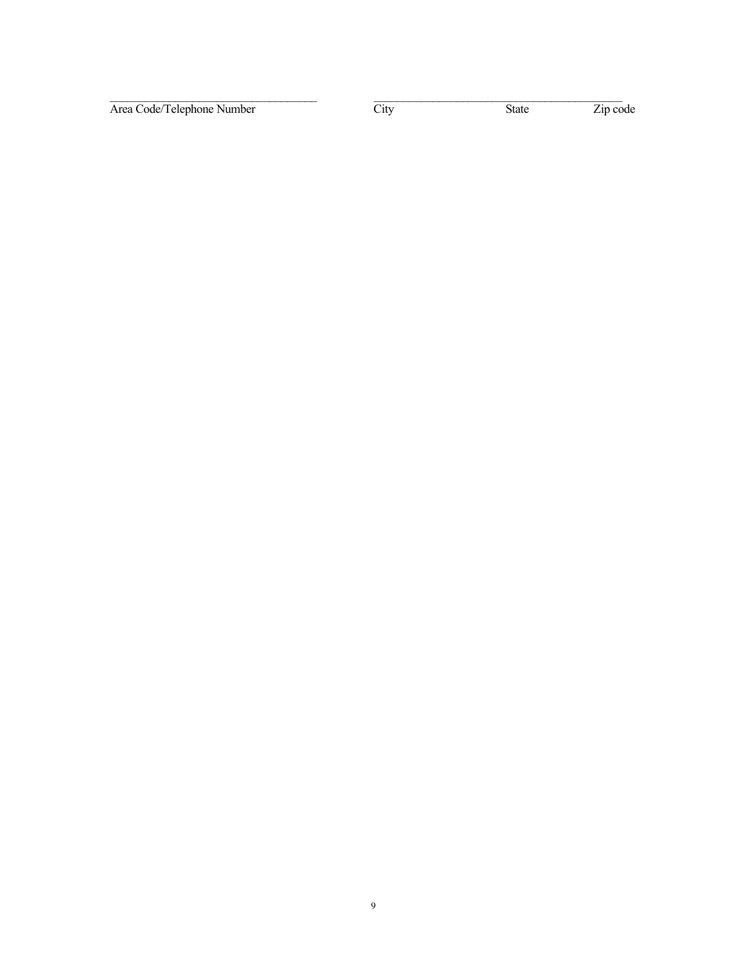Area Code/Telephone Number City State Zip code

 $\frac{1}{2}$  , and the set of the set of the set of the set of the set of the set of the set of the set of the set of the set of the set of the set of the set of the set of the set of the set of the set of the set of the set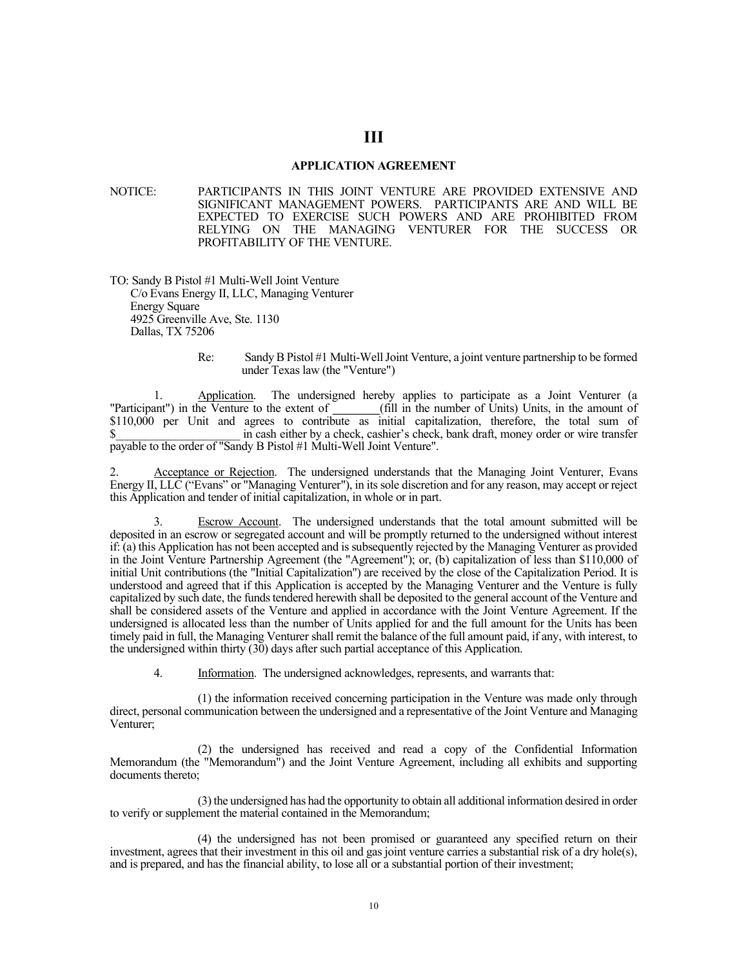#### **APPLICATION AGREEMENT**

**III**

NOTICE: PARTICIPANTS IN THIS JOINT VENTURE ARE PROVIDED EXTENSIVE AND SIGNIFICANT MANAGEMENT POWERS. PARTICIPANTS ARE AND WILL BE EXPECTED TO EXERCISE SUCH POWERS AND ARE PROHIBITED FROM RELYING ON THE MANAGING VENTURER FOR THE SUCCESS OR PROFITABILITY OF THE VENTURE.

TO: Sandy B Pistol #1 Multi-Well Joint Venture C/o Evans Energy II, LLC, Managing Venturer Energy Square 4925 Greenville Ave, Ste. 1130 Dallas, TX 75206

#### Re: Sandy B Pistol #1 Multi-WellJoint Venture, a joint venture partnership to be formed under Texas law (the "Venture")

1. Application. The undersigned hereby applies to participate as a Joint Venturer (a<br>"Participant") in the Venture to the extent of (fill in the number of Units) Units, in the amount of  $_f$ (fill in the number of Units) Units, in the amount of \$110,000 per Unit and agrees to contribute as initial capitalization, therefore, the total sum of \$ in cash either by a check, cashier's check, bank draft, money order or wire transfer payable to the order of "Sandy B Pistol #1 Multi-Well Joint Venture".

2. Acceptance or Rejection. The undersigned understands that the Managing Joint Venturer, Evans Energy II, LLC ("Evans" or "Managing Venturer"), in its sole discretion and for any reason, may accept or reject this Application and tender of initial capitalization, in whole or in part.

Escrow Account. The undersigned understands that the total amount submitted will be deposited in an escrow or segregated account and will be promptly returned to the undersigned without interest if: (a) this Application has not been accepted and is subsequently rejected by the Managing Venturer as provided in the Joint Venture Partnership Agreement (the "Agreement"); or, (b) capitalization of less than \$110,000 of initial Unit contributions (the "Initial Capitalization") are received by the close of the Capitalization Period. It is understood and agreed that if this Application is accepted by the Managing Venturer and the Venture is fully capitalized by such date, the funds tendered herewith shall be deposited to the general account of the Venture and shall be considered assets of the Venture and applied in accordance with the Joint Venture Agreement. If the undersigned is allocated less than the number of Units applied for and the full amount for the Units has been timely paid in full, the Managing Venturer shall remit the balance of the full amount paid, if any, with interest, to the undersigned within thirty (30) days after such partial acceptance of this Application.

4. Information. The undersigned acknowledges, represents, and warrants that:

(1) the information received concerning participation in the Venture was made only through direct, personal communication between the undersigned and a representative of the Joint Venture and Managing Venturer;

(2) the undersigned has received and read a copy of the Confidential Information Memorandum (the "Memorandum") and the Joint Venture Agreement, including all exhibits and supporting documents thereto;

(3) the undersigned has had the opportunity to obtain all additional information desired in order to verify or supplement the material contained in the Memorandum;

(4) the undersigned has not been promised or guaranteed any specified return on their investment, agrees that their investment in this oil and gas joint venture carries a substantial risk of a dry hole(s), and is prepared, and has the financial ability, to lose all or a substantial portion of their investment;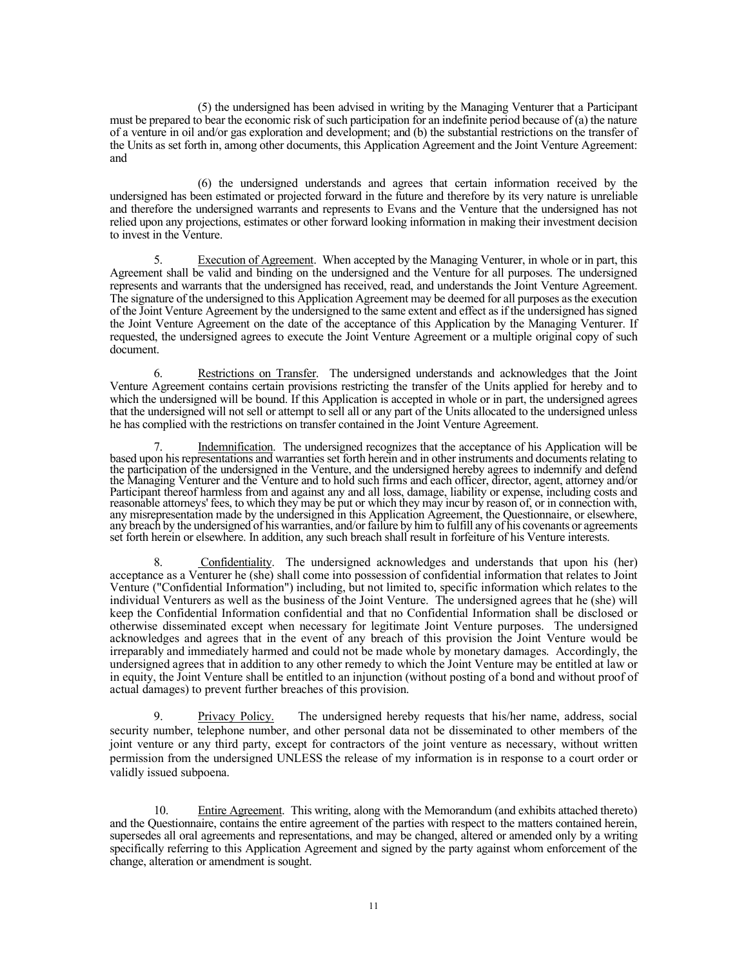(5) the undersigned has been advised in writing by the Managing Venturer that a Participant must be prepared to bear the economic risk of such participation for an indefinite period because of (a) the nature of a venture in oil and/or gas exploration and development; and (b) the substantial restrictions on the transfer of the Units as set forth in, among other documents, this Application Agreement and the Joint Venture Agreement: and

(6) the undersigned understands and agrees that certain information received by the undersigned has been estimated or projected forward in the future and therefore by its very nature is unreliable and therefore the undersigned warrants and represents to Evans and the Venture that the undersigned has not relied upon any projections, estimates or other forward looking information in making their investment decision to invest in the Venture.

5. Execution of Agreement. When accepted by the Managing Venturer, in whole or in part, this Agreement shall be valid and binding on the undersigned and the Venture for all purposes. The undersigned represents and warrants that the undersigned has received, read, and understands the Joint Venture Agreement. The signature of the undersigned to this Application Agreement may be deemed for all purposes as the execution of the Joint Venture Agreement by the undersigned to the same extent and effect as if the undersigned has signed the Joint Venture Agreement on the date of the acceptance of this Application by the Managing Venturer. If requested, the undersigned agrees to execute the Joint Venture Agreement or a multiple original copy of such document.

6. Restrictions on Transfer. The undersigned understands and acknowledges that the Joint Venture Agreement contains certain provisions restricting the transfer of the Units applied for hereby and to which the undersigned will be bound. If this Application is accepted in whole or in part, the undersigned agrees that the undersigned will not sell or attempt to sell all or any part of the Units allocated to the undersigned unless he has complied with the restrictions on transfer contained in the Joint Venture Agreement.

7. Indemnification. The undersigned recognizes that the acceptance of his Application will be based upon his representations and warranties set forth herein and in other instruments and documents relating to the participation of the undersigned in the Venture, and the undersigned hereby agrees to indemnify and defend the Managing Venturer and the Venture and to hold such firms and each officer, director, agent, attorney and/or Participant thereof harmless from and against any and all loss, damage, liability or expense, including costs and<br>reasonable attorneys' fees, to which they may be put or which they may incur by reason of, or in connection any misrepresentation made by the undersigned in this Application Agreement, the Questionnaire, or elsewhere, any breach by the undersigned of his warranties, and/or failure by him to fulfill any of his covenants or agreements set forth herein or elsewhere. In addition, any such breach shall result in forfeiture of his Venture interests.

8. Confidentiality. The undersigned acknowledges and understands that upon his (her) acceptance as a Venturer he (she) shall come into possession of confidential information that relates to Joint Venture ("Confidential Information") including, but not limited to, specific information which relates to the individual Venturers as well as the business of the Joint Venture. The undersigned agrees that he (she) will keep the Confidential Information confidential and that no Confidential Information shall be disclosed or otherwise disseminated except when necessary for legitimate Joint Venture purposes. The undersigned acknowledges and agrees that in the event of any breach of this provision the Joint Venture would be irreparably and immediately harmed and could not be made whole by monetary damages. Accordingly, the undersigned agrees that in addition to any other remedy to which the Joint Venture may be entitled at law or in equity, the Joint Venture shall be entitled to an injunction (without posting of a bond and without proof of actual damages) to prevent further breaches of this provision.

9. Privacy Policy. The undersigned hereby requests that his/her name, address, social security number, telephone number, and other personal data not be disseminated to other members of the joint venture or any third party, except for contractors of the joint venture as necessary, without written permission from the undersigned UNLESS the release of my information is in response to a court order or validly issued subpoena.

10. Entire Agreement. This writing, along with the Memorandum (and exhibits attached thereto) and the Questionnaire, contains the entire agreement of the parties with respect to the matters contained herein, supersedes all oral agreements and representations, and may be changed, altered or amended only by a writing specifically referring to this Application Agreement and signed by the party against whom enforcement of the change, alteration or amendment is sought.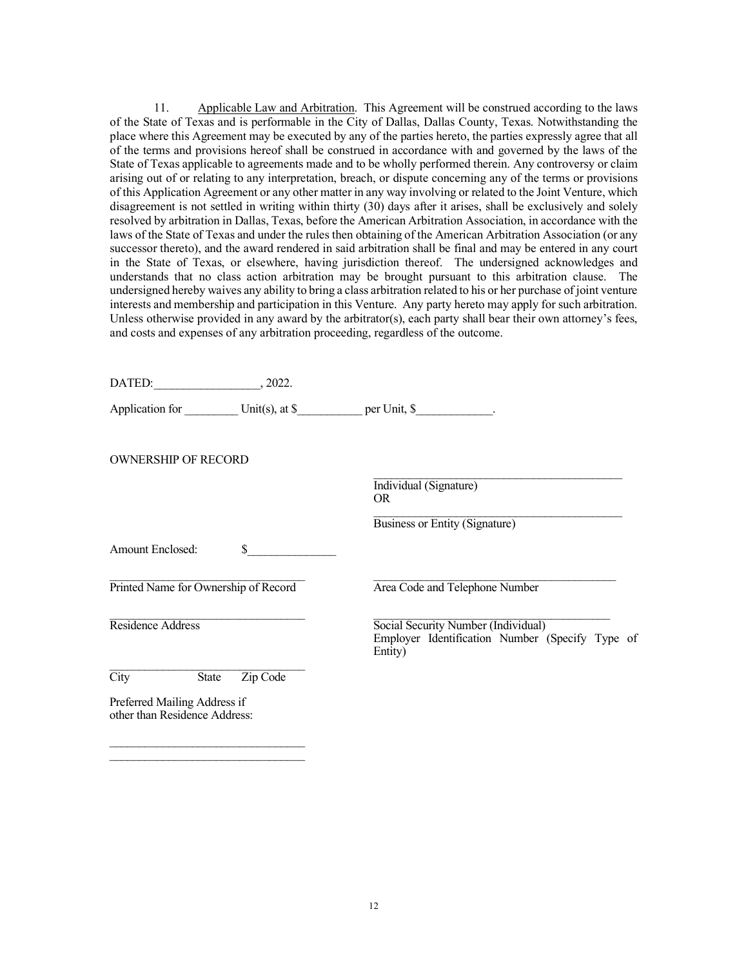11. Applicable Law and Arbitration. This Agreement will be construed according to the laws of the State of Texas and is performable in the City of Dallas, Dallas County, Texas. Notwithstanding the place where this Agreement may be executed by any of the parties hereto, the parties expressly agree that all of the terms and provisions hereof shall be construed in accordance with and governed by the laws of the State of Texas applicable to agreements made and to be wholly performed therein. Any controversy or claim arising out of or relating to any interpretation, breach, or dispute concerning any of the terms or provisions of this Application Agreement or any other matter in any way involving or related to the Joint Venture, which disagreement is not settled in writing within thirty (30) days after it arises, shall be exclusively and solely resolved by arbitration in Dallas, Texas, before the American Arbitration Association, in accordance with the laws of the State of Texas and under the rules then obtaining of the American Arbitration Association (or any successor thereto), and the award rendered in said arbitration shall be final and may be entered in any court in the State of Texas, or elsewhere, having jurisdiction thereof. The undersigned acknowledges and understands that no class action arbitration may be brought pursuant to this arbitration clause. The undersigned hereby waives any ability to bring a class arbitration related to his or her purchase of joint venture interests and membership and participation in this Venture. Any party hereto may apply for such arbitration. Unless otherwise provided in any award by the arbitrator(s), each party shall bear their own attorney's fees, and costs and expenses of any arbitration proceeding, regardless of the outcome.

| DATED: 2022.                                                  |                |                                                                                                   |
|---------------------------------------------------------------|----------------|---------------------------------------------------------------------------------------------------|
|                                                               |                | Application for Unit(s), at \$ per Unit, \$                                                       |
| <b>OWNERSHIP OF RECORD</b>                                    |                |                                                                                                   |
|                                                               |                | Individual (Signature)<br><b>OR</b>                                                               |
|                                                               |                | Business or Entity (Signature)                                                                    |
| Amount Enclosed:                                              | $\mathbb{S}$ . |                                                                                                   |
| Printed Name for Ownership of Record                          |                | Area Code and Telephone Number                                                                    |
| Residence Address                                             |                | Social Security Number (Individual)<br>Employer Identification Number (Specify Type of<br>Entity) |
| $\overline{\text{City}}$<br>State                             | Zip Code       |                                                                                                   |
| Preferred Mailing Address if<br>other than Residence Address: |                |                                                                                                   |
|                                                               |                |                                                                                                   |

 $\mathcal{L}_\text{max}$  and  $\mathcal{L}_\text{max}$  and  $\mathcal{L}_\text{max}$  and  $\mathcal{L}_\text{max}$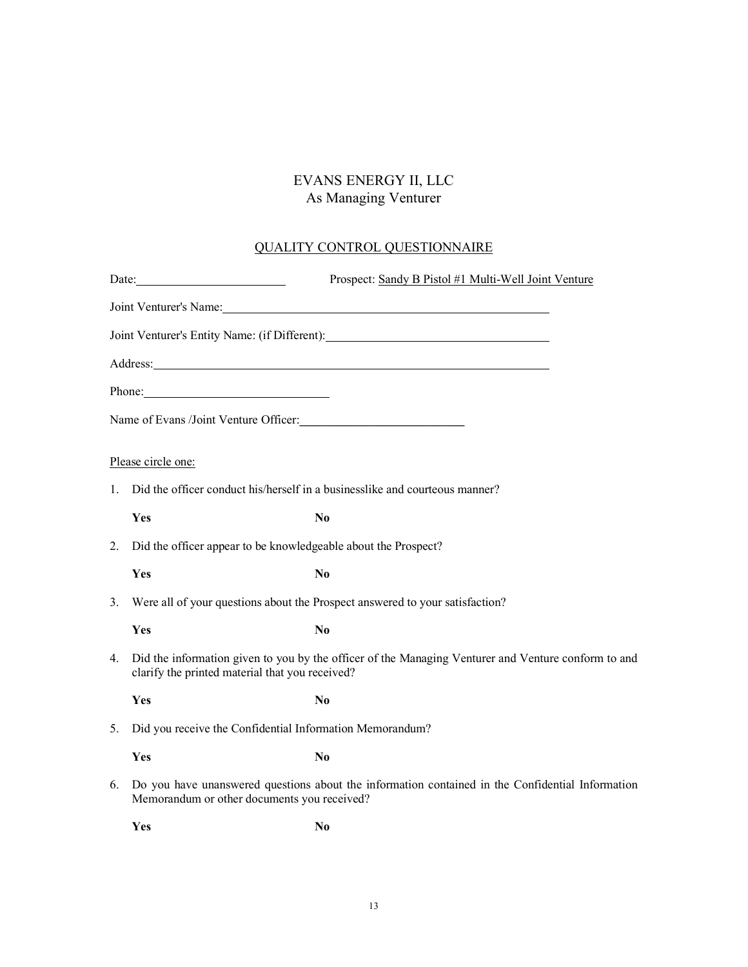## EVANS ENERGY II, LLC As Managing Venturer

# QUALITY CONTROL QUESTIONNAIRE

|    | Date: $\frac{1}{\sqrt{1-\frac{1}{2}}\sqrt{1-\frac{1}{2}}\sqrt{1-\frac{1}{2}}\sqrt{1-\frac{1}{2}}\sqrt{1-\frac{1}{2}}\sqrt{1-\frac{1}{2}}\sqrt{1-\frac{1}{2}}\sqrt{1-\frac{1}{2}}\sqrt{1-\frac{1}{2}}\sqrt{1-\frac{1}{2}}\sqrt{1-\frac{1}{2}}\sqrt{1-\frac{1}{2}}\sqrt{1-\frac{1}{2}}\sqrt{1-\frac{1}{2}}\sqrt{1-\frac{1}{2}}\sqrt{1-\frac{1}{2}}\sqrt{1-\frac{1}{2}}\sqrt{1-\frac{1}{2}}\sqrt{1-\frac{1}{2}}$ | Prospect: Sandy B Pistol #1 Multi-Well Joint Venture                                                                                                                                                                           |
|----|---------------------------------------------------------------------------------------------------------------------------------------------------------------------------------------------------------------------------------------------------------------------------------------------------------------------------------------------------------------------------------------------------------------|--------------------------------------------------------------------------------------------------------------------------------------------------------------------------------------------------------------------------------|
|    |                                                                                                                                                                                                                                                                                                                                                                                                               | Joint Venturer's Name: 1986 and 1987 and 1988 and 1988 and 1988 and 1988 and 1988 and 1988 and 1988 and 1988 and 1988 and 1988 and 1988 and 1988 and 1988 and 1988 and 1988 and 1988 and 1988 and 1988 and 1988 and 1988 and 1 |
|    |                                                                                                                                                                                                                                                                                                                                                                                                               | Joint Venturer's Entity Name: (if Different):                                                                                                                                                                                  |
|    |                                                                                                                                                                                                                                                                                                                                                                                                               | Address: National Address: National Address: National Address: National Address: National Address: National Address: National Address: National Address: National Address: National Address: National Address: National Addres |
|    | Phone: 2008 and 2008 and 2008 and 2008 and 2008 and 2008 and 2008 and 2008 and 2008 and 2008 and 2008 and 2008 and 2008 and 2008 and 2008 and 2008 and 2008 and 2008 and 2008 and 2008 and 2008 and 2008 and 2008 and 2008 and                                                                                                                                                                                |                                                                                                                                                                                                                                |
|    | Name of Evans /Joint Venture Officer:                                                                                                                                                                                                                                                                                                                                                                         |                                                                                                                                                                                                                                |
|    | Please circle one:                                                                                                                                                                                                                                                                                                                                                                                            |                                                                                                                                                                                                                                |
| 1. | Did the officer conduct his/herself in a businesslike and courteous manner?                                                                                                                                                                                                                                                                                                                                   |                                                                                                                                                                                                                                |
|    | Yes                                                                                                                                                                                                                                                                                                                                                                                                           | N <sub>0</sub>                                                                                                                                                                                                                 |
| 2. | Did the officer appear to be knowledgeable about the Prospect?                                                                                                                                                                                                                                                                                                                                                |                                                                                                                                                                                                                                |
|    | Yes                                                                                                                                                                                                                                                                                                                                                                                                           | N <sub>0</sub>                                                                                                                                                                                                                 |
| 3. | Were all of your questions about the Prospect answered to your satisfaction?                                                                                                                                                                                                                                                                                                                                  |                                                                                                                                                                                                                                |
|    | Yes                                                                                                                                                                                                                                                                                                                                                                                                           | N <sub>0</sub>                                                                                                                                                                                                                 |
| 4. | Did the information given to you by the officer of the Managing Venturer and Venture conform to and<br>clarify the printed material that you received?                                                                                                                                                                                                                                                        |                                                                                                                                                                                                                                |
|    | Yes                                                                                                                                                                                                                                                                                                                                                                                                           | N <sub>0</sub>                                                                                                                                                                                                                 |
| 5. | Did you receive the Confidential Information Memorandum?                                                                                                                                                                                                                                                                                                                                                      |                                                                                                                                                                                                                                |
|    | Yes                                                                                                                                                                                                                                                                                                                                                                                                           | N <sub>0</sub>                                                                                                                                                                                                                 |
| 6. | Memorandum or other documents you received?                                                                                                                                                                                                                                                                                                                                                                   | Do you have unanswered questions about the information contained in the Confidential Information                                                                                                                               |
|    | Yes                                                                                                                                                                                                                                                                                                                                                                                                           | N <sub>0</sub>                                                                                                                                                                                                                 |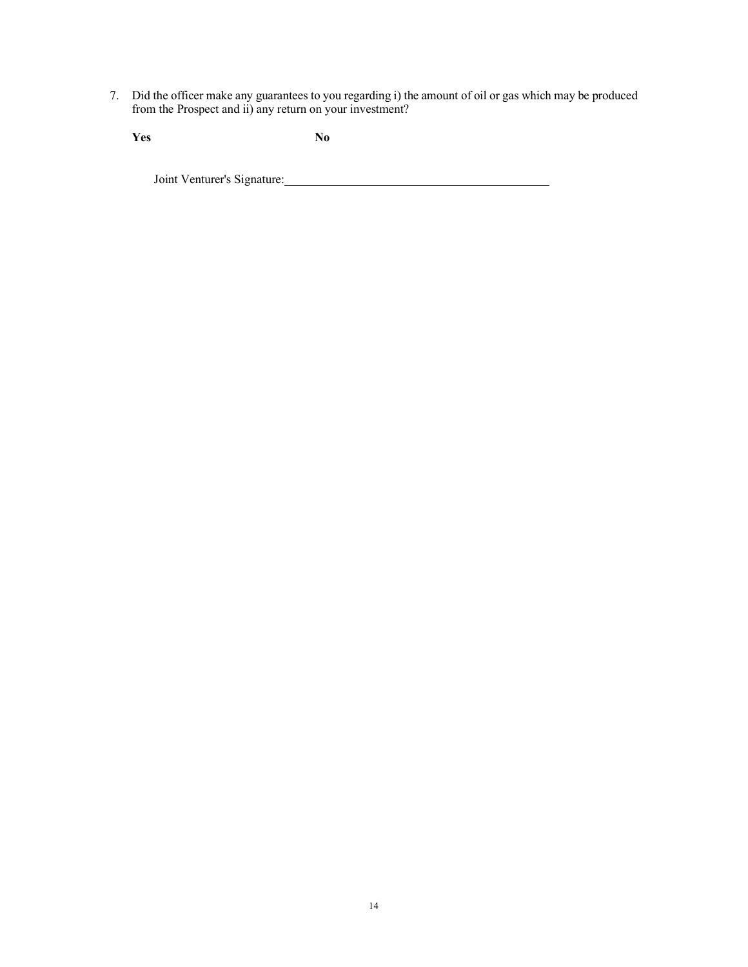7. Did the officer make any guarantees to you regarding i) the amount of oil or gas which may be produced from the Prospect and ii) any return on your investment?

**Yes No**

Joint Venturer's Signature: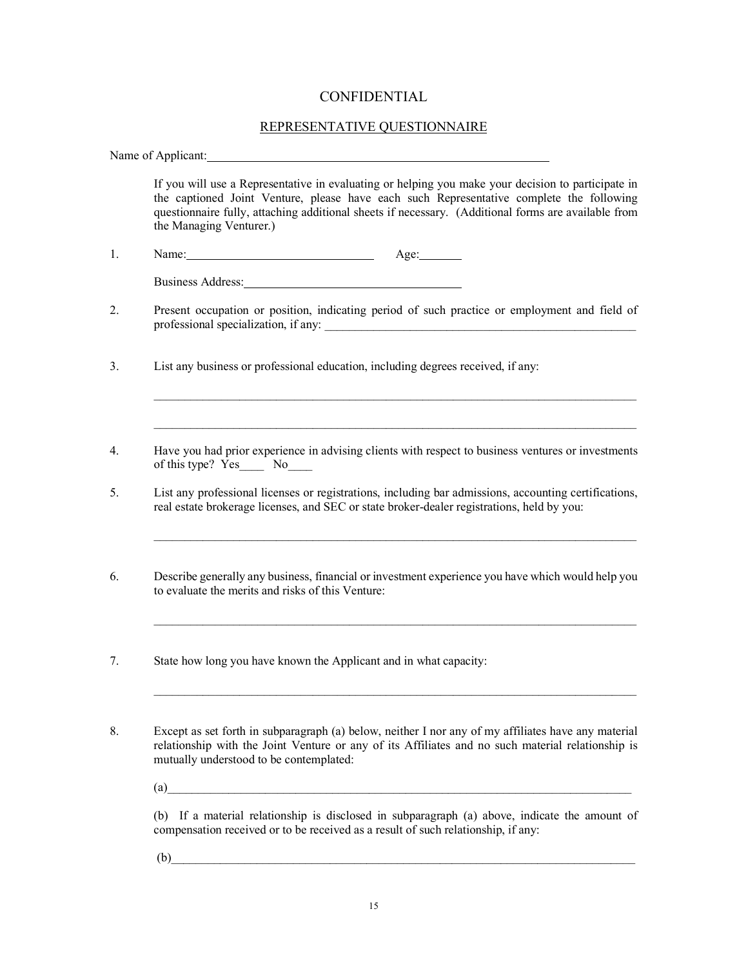## CONFIDENTIAL

## REPRESENTATIVE QUESTIONNAIRE

Name of Applicant: If you will use a Representative in evaluating or helping you make your decision to participate in the captioned Joint Venture, please have each such Representative complete the following questionnaire fully, attaching additional sheets if necessary. (Additional forms are available from the Managing Venturer.) 1. Name: Name: 1. Age: Age: 1. Business Address: 2. Present occupation or position, indicating period of such practice or employment and field of professional specialization, if any: 3. List any business or professional education, including degrees received, if any:  $\mathcal{L}_\mathcal{L} = \{ \mathcal{L}_\mathcal{L} = \{ \mathcal{L}_\mathcal{L} = \{ \mathcal{L}_\mathcal{L} = \{ \mathcal{L}_\mathcal{L} = \{ \mathcal{L}_\mathcal{L} = \{ \mathcal{L}_\mathcal{L} = \{ \mathcal{L}_\mathcal{L} = \{ \mathcal{L}_\mathcal{L} = \{ \mathcal{L}_\mathcal{L} = \{ \mathcal{L}_\mathcal{L} = \{ \mathcal{L}_\mathcal{L} = \{ \mathcal{L}_\mathcal{L} = \{ \mathcal{L}_\mathcal{L} = \{ \mathcal{L}_\mathcal{$ \_\_\_\_\_\_\_\_\_\_\_\_\_\_\_\_\_\_\_\_\_\_\_\_\_\_\_\_\_\_\_\_\_\_\_\_\_\_\_\_\_\_\_\_\_\_\_\_\_\_\_\_\_\_\_\_\_\_\_\_\_\_\_\_\_\_\_\_\_\_\_\_\_\_\_\_\_\_\_ 4. Have you had prior experience in advising clients with respect to business ventures or investments of this type? Yes\_\_\_\_ No\_\_\_\_ 5. List any professional licenses or registrations, including bar admissions, accounting certifications, real estate brokerage licenses, and SEC or state broker-dealer registrations, held by you: \_\_\_\_\_\_\_\_\_\_\_\_\_\_\_\_\_\_\_\_\_\_\_\_\_\_\_\_\_\_\_\_\_\_\_\_\_\_\_\_\_\_\_\_\_\_\_\_\_\_\_\_\_\_\_\_\_\_\_\_\_\_\_\_\_\_\_\_\_\_\_\_\_\_\_\_\_\_\_ 6. Describe generally any business, financial or investment experience you have which would help you to evaluate the merits and risks of this Venture:  $\mathcal{L}_\mathcal{L} = \{ \mathcal{L}_\mathcal{L} = \{ \mathcal{L}_\mathcal{L} = \{ \mathcal{L}_\mathcal{L} = \{ \mathcal{L}_\mathcal{L} = \{ \mathcal{L}_\mathcal{L} = \{ \mathcal{L}_\mathcal{L} = \{ \mathcal{L}_\mathcal{L} = \{ \mathcal{L}_\mathcal{L} = \{ \mathcal{L}_\mathcal{L} = \{ \mathcal{L}_\mathcal{L} = \{ \mathcal{L}_\mathcal{L} = \{ \mathcal{L}_\mathcal{L} = \{ \mathcal{L}_\mathcal{L} = \{ \mathcal{L}_\mathcal{$ 7. State how long you have known the Applicant and in what capacity: \_\_\_\_\_\_\_\_\_\_\_\_\_\_\_\_\_\_\_\_\_\_\_\_\_\_\_\_\_\_\_\_\_\_\_\_\_\_\_\_\_\_\_\_\_\_\_\_\_\_\_\_\_\_\_\_\_\_\_\_\_\_\_\_\_\_\_\_\_\_\_\_\_\_\_\_\_\_\_ 8. Except as set forth in subparagraph (a) below, neither I nor any of my affiliates have any material relationship with the Joint Venture or any of its Affiliates and no such material relationship is mutually understood to be contemplated:  $(a)$ (b) If a material relationship is disclosed in subparagraph (a) above, indicate the amount of

compensation received or to be received as a result of such relationship, if any:

 $(b)$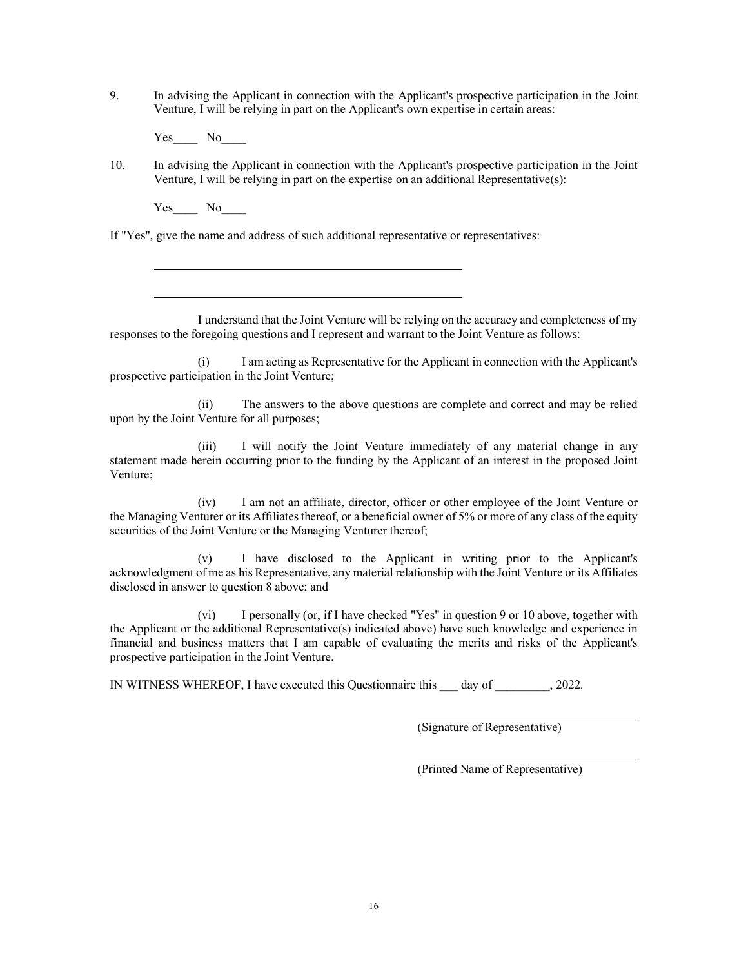- 9. In advising the Applicant in connection with the Applicant's prospective participation in the Joint Venture, I will be relying in part on the Applicant's own expertise in certain areas:
	- Yes No
- 10. In advising the Applicant in connection with the Applicant's prospective participation in the Joint Venture, I will be relying in part on the expertise on an additional Representative(s):

Yes No

If "Yes", give the name and address of such additional representative or representatives:

I understand that the Joint Venture will be relying on the accuracy and completeness of my responses to the foregoing questions and I represent and warrant to the Joint Venture as follows:

(i) I am acting as Representative for the Applicant in connection with the Applicant's prospective participation in the Joint Venture;

(ii) The answers to the above questions are complete and correct and may be relied upon by the Joint Venture for all purposes;

(iii) I will notify the Joint Venture immediately of any material change in any statement made herein occurring prior to the funding by the Applicant of an interest in the proposed Joint Venture;

(iv) I am not an affiliate, director, officer or other employee of the Joint Venture or the Managing Venturer or its Affiliates thereof, or a beneficial owner of 5% or more of any class of the equity securities of the Joint Venture or the Managing Venturer thereof;

(v) I have disclosed to the Applicant in writing prior to the Applicant's acknowledgment of me as his Representative, any material relationship with the Joint Venture or its Affiliates disclosed in answer to question 8 above; and

(vi) I personally (or, if I have checked "Yes" in question 9 or 10 above, together with the Applicant or the additional Representative(s) indicated above) have such knowledge and experience in financial and business matters that I am capable of evaluating the merits and risks of the Applicant's prospective participation in the Joint Venture.

IN WITNESS WHEREOF, I have executed this Questionnaire this \_\_\_ day of \_\_\_\_\_\_\_\_\_, 2022.

(Signature of Representative)

(Printed Name of Representative)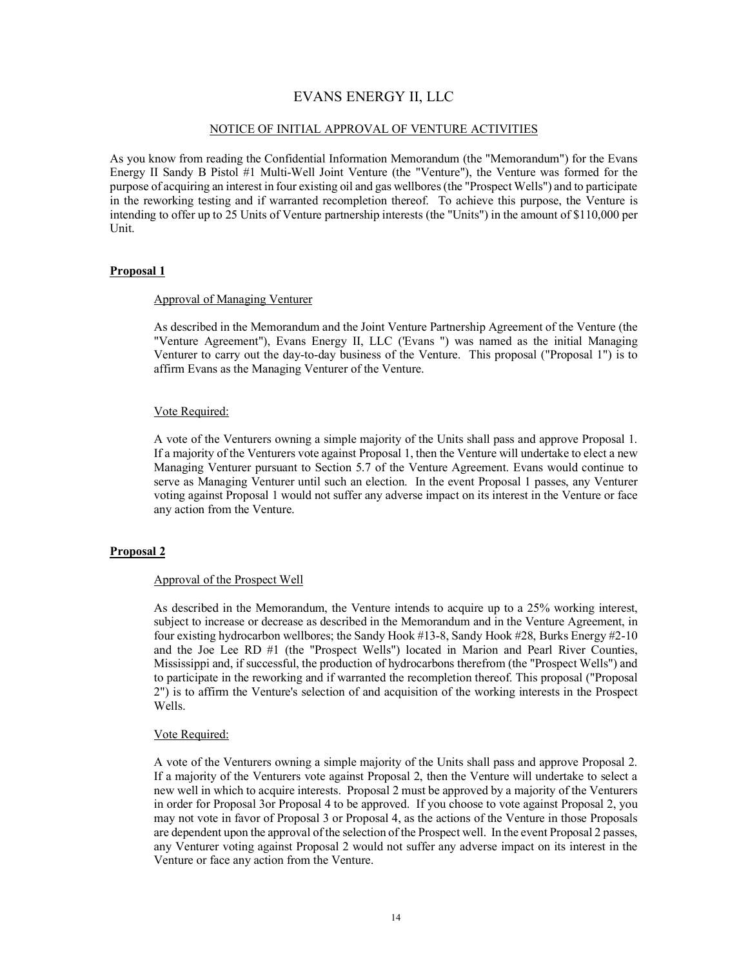## EVANS ENERGY II, LLC

#### NOTICE OF INITIAL APPROVAL OF VENTURE ACTIVITIES

As you know from reading the Confidential Information Memorandum (the "Memorandum") for the Evans Energy II Sandy B Pistol #1 Multi-Well Joint Venture (the "Venture"), the Venture was formed for the purpose of acquiring an interest in four existing oil and gas wellbores(the "Prospect Wells") and to participate in the reworking testing and if warranted recompletion thereof. To achieve this purpose, the Venture is intending to offer up to 25 Units of Venture partnership interests (the "Units") in the amount of \$110,000 per Unit.

## **Proposal 1**

## Approval of Managing Venturer

As described in the Memorandum and the Joint Venture Partnership Agreement of the Venture (the "Venture Agreement"), Evans Energy II, LLC ('Evans ") was named as the initial Managing Venturer to carry out the day-to-day business of the Venture. This proposal ("Proposal 1") is to affirm Evans as the Managing Venturer of the Venture.

## Vote Required:

A vote of the Venturers owning a simple majority of the Units shall pass and approve Proposal 1. If a majority of the Venturers vote against Proposal 1, then the Venture will undertake to elect a new Managing Venturer pursuant to Section 5.7 of the Venture Agreement. Evans would continue to serve as Managing Venturer until such an election. In the event Proposal 1 passes, any Venturer voting against Proposal 1 would not suffer any adverse impact on its interest in the Venture or face any action from the Venture.

## **Proposal 2**

## Approval of the Prospect Well

As described in the Memorandum, the Venture intends to acquire up to a 25% working interest, subject to increase or decrease as described in the Memorandum and in the Venture Agreement, in four existing hydrocarbon wellbores; the Sandy Hook #13-8, Sandy Hook #28, Burks Energy #2-10 and the Joe Lee RD #1 (the "Prospect Wells") located in Marion and Pearl River Counties, Mississippi and, if successful, the production of hydrocarbons therefrom (the "Prospect Wells") and to participate in the reworking and if warranted the recompletion thereof. This proposal ("Proposal 2") is to affirm the Venture's selection of and acquisition of the working interests in the Prospect Wells.

#### Vote Required:

A vote of the Venturers owning a simple majority of the Units shall pass and approve Proposal 2. If a majority of the Venturers vote against Proposal 2, then the Venture will undertake to select a new well in which to acquire interests. Proposal 2 must be approved by a majority of the Venturers in order for Proposal 3or Proposal 4 to be approved. If you choose to vote against Proposal 2, you may not vote in favor of Proposal 3 or Proposal 4, as the actions of the Venture in those Proposals are dependent upon the approval of the selection of the Prospect well. In the event Proposal 2 passes, any Venturer voting against Proposal 2 would not suffer any adverse impact on its interest in the Venture or face any action from the Venture.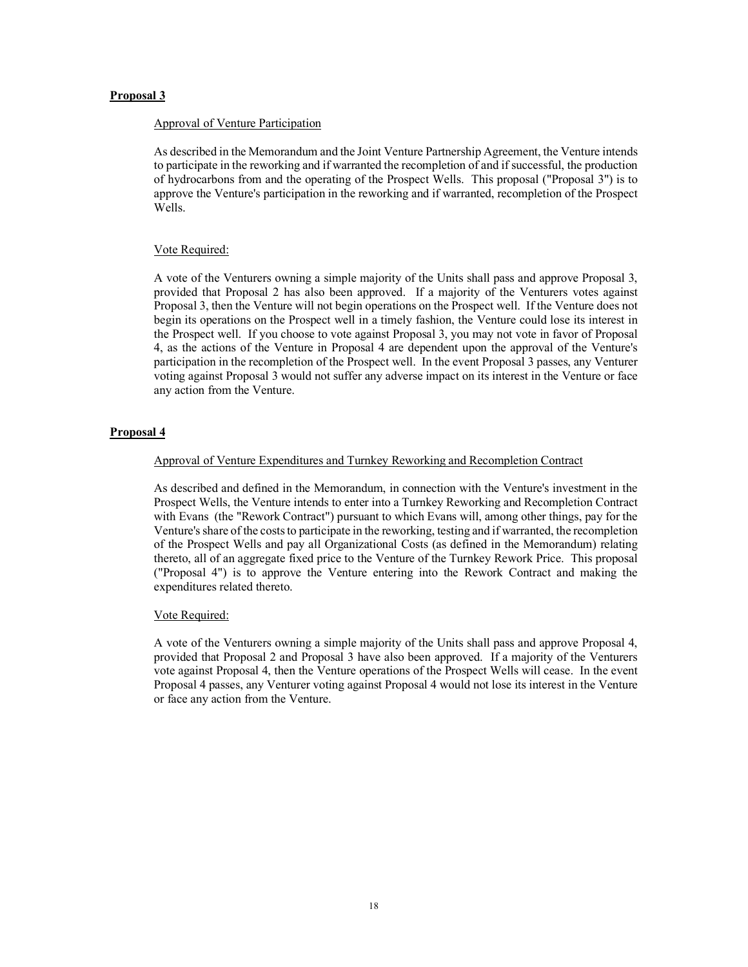## **Proposal 3**

## Approval of Venture Participation

As described in the Memorandum and the Joint Venture Partnership Agreement, the Venture intends to participate in the reworking and if warranted the recompletion of and if successful, the production of hydrocarbons from and the operating of the Prospect Wells. This proposal ("Proposal 3") is to approve the Venture's participation in the reworking and if warranted, recompletion of the Prospect Wells.

## Vote Required:

A vote of the Venturers owning a simple majority of the Units shall pass and approve Proposal 3, provided that Proposal 2 has also been approved. If a majority of the Venturers votes against Proposal 3, then the Venture will not begin operations on the Prospect well. If the Venture does not begin its operations on the Prospect well in a timely fashion, the Venture could lose its interest in the Prospect well. If you choose to vote against Proposal 3, you may not vote in favor of Proposal 4, as the actions of the Venture in Proposal 4 are dependent upon the approval of the Venture's participation in the recompletion of the Prospect well. In the event Proposal 3 passes, any Venturer voting against Proposal 3 would not suffer any adverse impact on its interest in the Venture or face any action from the Venture.

## **Proposal 4**

## Approval of Venture Expenditures and Turnkey Reworking and Recompletion Contract

As described and defined in the Memorandum, in connection with the Venture's investment in the Prospect Wells, the Venture intends to enter into a Turnkey Reworking and Recompletion Contract with Evans (the "Rework Contract") pursuant to which Evans will, among other things, pay for the Venture's share of the costs to participate in the reworking, testing and if warranted, the recompletion of the Prospect Wells and pay all Organizational Costs (as defined in the Memorandum) relating thereto, all of an aggregate fixed price to the Venture of the Turnkey Rework Price. This proposal ("Proposal 4") is to approve the Venture entering into the Rework Contract and making the expenditures related thereto.

## Vote Required:

A vote of the Venturers owning a simple majority of the Units shall pass and approve Proposal 4, provided that Proposal 2 and Proposal 3 have also been approved. If a majority of the Venturers vote against Proposal 4, then the Venture operations of the Prospect Wells will cease. In the event Proposal 4 passes, any Venturer voting against Proposal 4 would not lose its interest in the Venture or face any action from the Venture.